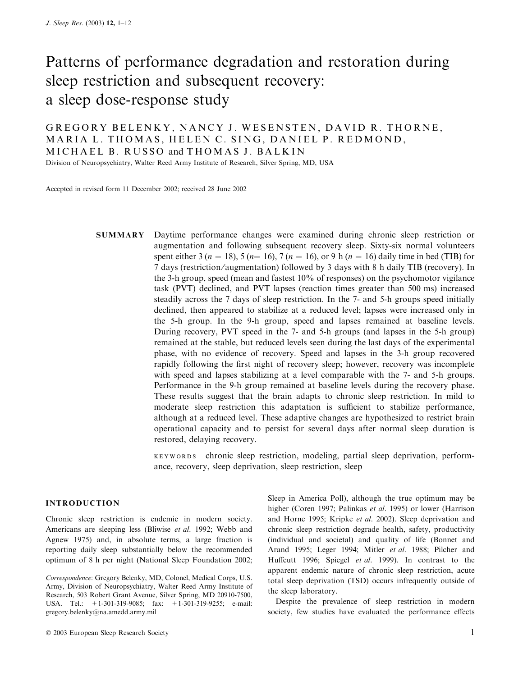# Patterns of performance degradation and restoration during sleep restriction and subsequent recovery: a sleep dose-response study

GREGORY BELENKY, NANCY J. WESENSTEN, DAVID R. THORNE, MARIA L. THOMAS, HELEN C. SING, DANIEL P. REDMOND, MICHAEL B. RUSSO and THOMAS J. BALKIN

Division of Neuropsychiatry, Walter Reed Army Institute of Research, Silver Spring, MD, USA

Accepted in revised form 11 December 2002; received 28 June 2002

SUMMARY Daytime performance changes were examined during chronic sleep restriction or augmentation and following subsequent recovery sleep. Sixty-six normal volunteers spent either 3 ( $n = 18$ ), 5 ( $n = 16$ ), 7 ( $n = 16$ ), or 9 h ( $n = 16$ ) daily time in bed (TIB) for 7 days (restriction ⁄ augmentation) followed by 3 days with 8 h daily TIB (recovery). In the 3-h group, speed (mean and fastest 10% of responses) on the psychomotor vigilance task (PVT) declined, and PVT lapses (reaction times greater than 500 ms) increased steadily across the 7 days of sleep restriction. In the 7- and 5-h groups speed initially declined, then appeared to stabilize at a reduced level; lapses were increased only in the 5-h group. In the 9-h group, speed and lapses remained at baseline levels. During recovery, PVT speed in the 7- and 5-h groups (and lapses in the 5-h group) remained at the stable, but reduced levels seen during the last days of the experimental phase, with no evidence of recovery. Speed and lapses in the 3-h group recovered rapidly following the first night of recovery sleep; however, recovery was incomplete with speed and lapses stabilizing at a level comparable with the 7- and 5-h groups. Performance in the 9-h group remained at baseline levels during the recovery phase. These results suggest that the brain adapts to chronic sleep restriction. In mild to moderate sleep restriction this adaptation is sufficient to stabilize performance, although at a reduced level. These adaptive changes are hypothesized to restrict brain operational capacity and to persist for several days after normal sleep duration is restored, delaying recovery.

> keywords chronic sleep restriction, modeling, partial sleep deprivation, performance, recovery, sleep deprivation, sleep restriction, sleep

# INTRODUCTION

Chronic sleep restriction is endemic in modern society. Americans are sleeping less (Bliwise et al. 1992; Webb and Agnew 1975) and, in absolute terms, a large fraction is reporting daily sleep substantially below the recommended optimum of 8 h per night (National Sleep Foundation 2002;

Correspondence: Gregory Belenky, MD, Colonel, Medical Corps, U.S. Army, Division of Neuropsychiatry, Walter Reed Army Institute of Research, 503 Robert Grant Avenue, Silver Spring, MD 20910-7500, USA. Tel.: +1-301-319-9085; fax: +1-301-319-9255; e-mail: gregory.belenky@na.amedd.army.mil

higher (Coren 1997; Palinkas et al. 1995) or lower (Harrison and Horne 1995; Kripke et al. 2002). Sleep deprivation and chronic sleep restriction degrade health, safety, productivity (individual and societal) and quality of life (Bonnet and Arand 1995; Leger 1994; Mitler et al. 1988; Pilcher and Huffcutt 1996; Spiegel et al. 1999). In contrast to the apparent endemic nature of chronic sleep restriction, acute total sleep deprivation (TSD) occurs infrequently outside of the sleep laboratory.

Sleep in America Poll), although the true optimum may be

Despite the prevalence of sleep restriction in modern society, few studies have evaluated the performance effects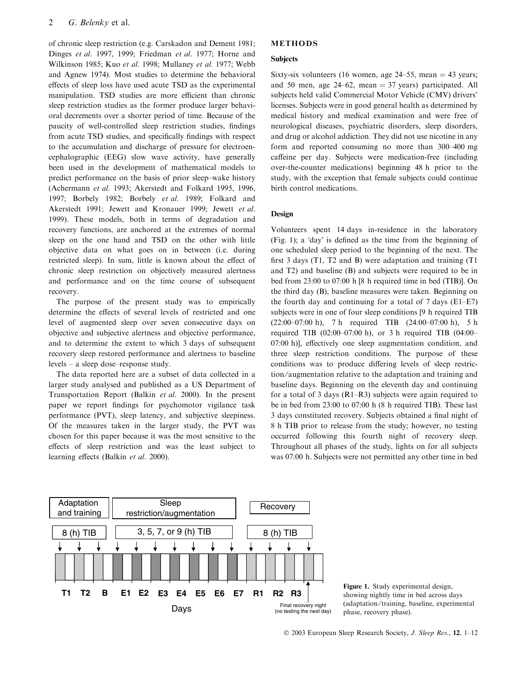of chronic sleep restriction (e.g. Carskadon and Dement 1981; Dinges et al. 1997, 1999; Friedman et al. 1977; Horne and Wilkinson 1985; Kuo et al. 1998; Mullaney et al. 1977; Webb and Agnew 1974). Most studies to determine the behavioral effects of sleep loss have used acute TSD as the experimental manipulation. TSD studies are more efficient than chronic sleep restriction studies as the former produce larger behavioral decrements over a shorter period of time. Because of the paucity of well-controlled sleep restriction studies, findings from acute TSD studies, and specifically findings with respect to the accumulation and discharge of pressure for electroencephalographic (EEG) slow wave activity, have generally been used in the development of mathematical models to predict performance on the basis of prior sleep–wake history (Achermann et al. 1993; Akerstedt and Folkard 1995, 1996, 1997; Borbely 1982; Borbely et al. 1989; Folkard and Akerstedt 1991; Jewett and Kronauer 1999; Jewett et al. 1999). These models, both in terms of degradation and recovery functions, are anchored at the extremes of normal sleep on the one hand and TSD on the other with little objective data on what goes on in between (i.e. during restricted sleep). In sum, little is known about the effect of chronic sleep restriction on objectively measured alertness and performance and on the time course of subsequent recovery.

The purpose of the present study was to empirically determine the effects of several levels of restricted and one level of augmented sleep over seven consecutive days on objective and subjective alertness and objective performance, and to determine the extent to which 3 days of subsequent recovery sleep restored performance and alertness to baseline levels – a sleep dose–response study.

The data reported here are a subset of data collected in a larger study analysed and published as a US Department of Transportation Report (Balkin et al. 2000). In the present paper we report findings for psychomotor vigilance task performance (PVT), sleep latency, and subjective sleepiness. Of the measures taken in the larger study, the PVT was chosen for this paper because it was the most sensitive to the effects of sleep restriction and was the least subject to learning effects (Balkin et al. 2000).

# METHODS

#### **Subjects**

Sixty-six volunteers (16 women, age  $24-55$ , mean  $= 43$  years; and 50 men, age  $24-62$ , mean = 37 years) participated. All subjects held valid Commercial Motor Vehicle (CMV) drivers' licenses. Subjects were in good general health as determined by medical history and medical examination and were free of neurological diseases, psychiatric disorders, sleep disorders, and drug or alcohol addiction. They did not use nicotine in any form and reported consuming no more than 300–400 mg caffeine per day. Subjects were medication-free (including over-the-counter medications) beginning 48 h prior to the study, with the exception that female subjects could continue birth control medications.

# Design

Volunteers spent 14 days in-residence in the laboratory  $(Fig. 1)$ ; a 'day' is defined as the time from the beginning of one scheduled sleep period to the beginning of the next. The first 3 days (T1, T2 and B) were adaptation and training (T1 and T2) and baseline (B) and subjects were required to be in bed from 23:00 to 07:00 h [8 h required time in bed (TIB)]. On the third day (B), baseline measures were taken. Beginning on the fourth day and continuing for a total of 7 days (E1–E7) subjects were in one of four sleep conditions [9 h required TIB  $(22:00-07:00 \text{ h})$ , 7 h required TIB  $(24:00-07:00 \text{ h})$ , 5 h required TIB (02:00–07:00 h), or 3 h required TIB (04:00– 07:00 h)], effectively one sleep augmentation condition, and three sleep restriction conditions. The purpose of these conditions was to produce differing levels of sleep restriction ⁄ augmentation relative to the adaptation and training and baseline days. Beginning on the eleventh day and continuing for a total of 3 days (R1–R3) subjects were again required to be in bed from 23:00 to 07:00 h (8 h required TIB). These last 3 days constituted recovery. Subjects obtained a final night of 8 h TIB prior to release from the study; however, no testing occurred following this fourth night of recovery sleep. Throughout all phases of the study, lights on for all subjects was 07:00 h. Subjects were not permitted any other time in bed



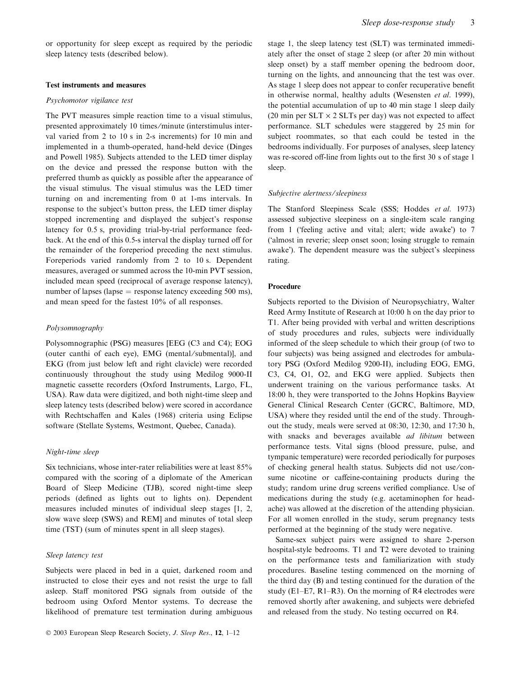or opportunity for sleep except as required by the periodic sleep latency tests (described below).

#### Test instruments and measures

#### Psychomotor vigilance test

The PVT measures simple reaction time to a visual stimulus, presented approximately 10 times ⁄ minute (interstimulus interval varied from 2 to 10 s in 2-s increments) for 10 min and implemented in a thumb-operated, hand-held device (Dinges and Powell 1985). Subjects attended to the LED timer display on the device and pressed the response button with the preferred thumb as quickly as possible after the appearance of the visual stimulus. The visual stimulus was the LED timer turning on and incrementing from 0 at 1-ms intervals. In response to the subject's button press, the LED timer display stopped incrementing and displayed the subject's response latency for 0.5 s, providing trial-by-trial performance feedback. At the end of this 0.5-s interval the display turned off for the remainder of the foreperiod preceding the next stimulus. Foreperiods varied randomly from 2 to 10 s. Dependent measures, averaged or summed across the 10-min PVT session, included mean speed (reciprocal of average response latency), number of lapses (lapse  $=$  response latency exceeding 500 ms), and mean speed for the fastest 10% of all responses.

# Polysomnography

Polysomnographic (PSG) measures [EEG (C3 and C4); EOG (outer canthi of each eye), EMG (mental/submental)], and EKG (from just below left and right clavicle) were recorded continuously throughout the study using Medilog 9000-II magnetic cassette recorders (Oxford Instruments, Largo, FL, USA). Raw data were digitized, and both night-time sleep and sleep latency tests (described below) were scored in accordance with Rechtschaffen and Kales (1968) criteria using Eclipse software (Stellate Systems, Westmont, Quebec, Canada).

# Night-time sleep

Six technicians, whose inter-rater reliabilities were at least 85% compared with the scoring of a diplomate of the American Board of Sleep Medicine (TJB), scored night-time sleep periods (defined as lights out to lights on). Dependent measures included minutes of individual sleep stages [1, 2, slow wave sleep (SWS) and REM] and minutes of total sleep time (TST) (sum of minutes spent in all sleep stages).

# Sleep latency test

Subjects were placed in bed in a quiet, darkened room and instructed to close their eyes and not resist the urge to fall asleep. Staff monitored PSG signals from outside of the bedroom using Oxford Mentor systems. To decrease the likelihood of premature test termination during ambiguous

stage 1, the sleep latency test (SLT) was terminated immediately after the onset of stage 2 sleep (or after 20 min without sleep onset) by a staff member opening the bedroom door, turning on the lights, and announcing that the test was over. As stage 1 sleep does not appear to confer recuperative benefit in otherwise normal, healthy adults (Wesensten et al. 1999), the potential accumulation of up to 40 min stage 1 sleep daily (20 min per  $SLT \times 2 SLTs$  per day) was not expected to affect performance. SLT schedules were staggered by 25 min for subject roommates, so that each could be tested in the bedrooms individually. For purposes of analyses, sleep latency was re-scored off-line from lights out to the first 30 s of stage 1 sleep.

#### Subjective alertness/sleepiness

The Stanford Sleepiness Scale (SSS; Hoddes et al. 1973) assessed subjective sleepiness on a single-item scale ranging from 1 ('feeling active and vital; alert; wide awake') to 7 (!almost in reverie; sleep onset soon; losing struggle to remain awake'). The dependent measure was the subject's sleepiness rating.

## Procedure

Subjects reported to the Division of Neuropsychiatry, Walter Reed Army Institute of Research at 10:00 h on the day prior to T1. After being provided with verbal and written descriptions of study procedures and rules, subjects were individually informed of the sleep schedule to which their group (of two to four subjects) was being assigned and electrodes for ambulatory PSG (Oxford Medilog 9200-II), including EOG, EMG, C3, C4, O1, O2, and EKG were applied. Subjects then underwent training on the various performance tasks. At 18:00 h, they were transported to the Johns Hopkins Bayview General Clinical Research Center (GCRC, Baltimore, MD, USA) where they resided until the end of the study. Throughout the study, meals were served at 08:30, 12:30, and 17:30 h, with snacks and beverages available ad libitum between performance tests. Vital signs (blood pressure, pulse, and tympanic temperature) were recorded periodically for purposes of checking general health status. Subjects did not use ⁄ consume nicotine or caffeine-containing products during the study; random urine drug screens verified compliance. Use of medications during the study (e.g. acetaminophen for headache) was allowed at the discretion of the attending physician. For all women enrolled in the study, serum pregnancy tests performed at the beginning of the study were negative.

Same-sex subject pairs were assigned to share 2-person hospital-style bedrooms. T1 and T2 were devoted to training on the performance tests and familiarization with study procedures. Baseline testing commenced on the morning of the third day (B) and testing continued for the duration of the study (E1–E7, R1–R3). On the morning of R4 electrodes were removed shortly after awakening, and subjects were debriefed and released from the study. No testing occurred on R4.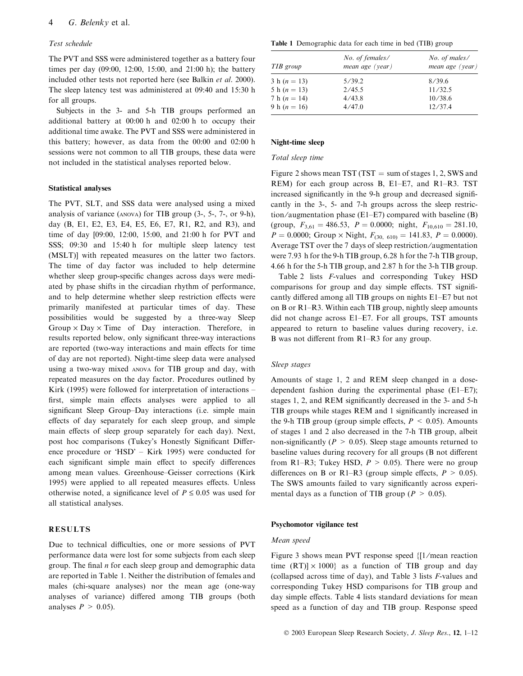# Test schedule

The PVT and SSS were administered together as a battery four times per day (09:00, 12:00, 15:00, and 21:00 h); the battery included other tests not reported here (see Balkin et al. 2000). The sleep latency test was administered at 09:40 and 15:30 h for all groups.

Subjects in the 3- and 5-h TIB groups performed an additional battery at 00:00 h and 02:00 h to occupy their additional time awake. The PVT and SSS were administered in this battery; however, as data from the 00:00 and 02:00 h sessions were not common to all TIB groups, these data were not included in the statistical analyses reported below.

#### Statistical analyses

The PVT, SLT, and SSS data were analysed using a mixed analysis of variance (anova) for TIB group (3-, 5-, 7-, or 9-h), day (B, E1, E2, E3, E4, E5, E6, E7, R1, R2, and R3), and time of day [09:00, 12:00, 15:00, and 21:00 h for PVT and SSS; 09:30 and 15:40 h for multiple sleep latency test (MSLT)] with repeated measures on the latter two factors. The time of day factor was included to help determine whether sleep group-specific changes across days were mediated by phase shifts in the circadian rhythm of performance, and to help determine whether sleep restriction effects were primarily manifested at particular times of day. These possibilities would be suggested by a three-way Sleep Group  $\times$  Day  $\times$  Time of Day interaction. Therefore, in results reported below, only significant three-way interactions are reported (two-way interactions and main effects for time of day are not reported). Night-time sleep data were analysed using a two-way mixed anova for TIB group and day, with repeated measures on the day factor. Procedures outlined by Kirk (1995) were followed for interpretation of interactions – first, simple main effects analyses were applied to all significant Sleep Group–Day interactions (i.e. simple main effects of day separately for each sleep group, and simple main effects of sleep group separately for each day). Next, post hoc comparisons (Tukey's Honestly Significant Difference procedure or ' $HSD'$  – Kirk 1995) were conducted for each significant simple main effect to specify differences among mean values. Greenhouse–Geisser corrections (Kirk 1995) were applied to all repeated measures effects. Unless otherwise noted, a significance level of  $P \le 0.05$  was used for all statistical analyses.

# RESULTS

Due to technical difficulties, one or more sessions of PVT performance data were lost for some subjects from each sleep group. The final  $n$  for each sleep group and demographic data are reported in Table 1. Neither the distribution of females and males (chi-square analyses) nor the mean age (one-way analyses of variance) differed among TIB groups (both analyses  $P > 0.05$ ).

Table 1 Demographic data for each time in bed (TIB) group

| TIB group        | No. of females/<br>mean age (year) | No. of males/<br>mean age (year) |  |
|------------------|------------------------------------|----------------------------------|--|
| 3 h ( $n = 13$ ) | 5/39.2                             | 8/39.6                           |  |
| 5 h $(n = 13)$   | 2/45.5                             | 11/32.5                          |  |
| 7 h ( $n = 14$ ) | 4/43.8                             | 10/38.6                          |  |
| 9 h ( $n = 16$ ) | 4/47.0                             | 12/37.4                          |  |

## Night-time sleep

#### Total sleep time

Figure 2 shows mean TST (TST  $=$  sum of stages 1, 2, SWS and REM) for each group across B, E1–E7, and R1–R3. TST increased significantly in the 9-h group and decreased significantly in the 3-, 5- and 7-h groups across the sleep restriction/augmentation phase (E1–E7) compared with baseline  $(B)$ (group,  $F_{3,61} = 486.53$ ,  $P = 0.0000$ ; night,  $F_{10,610} = 281.10$ ,  $P = 0.0000$ ; Group × Night,  $F_{(30, 610)} = 141.83$ ,  $P = 0.0000$ ). Average TST over the 7 days of sleep restriction ⁄ augmentation were 7.93 h for the 9-h TIB group, 6.28 h for the 7-h TIB group, 4.66 h for the 5-h TIB group, and 2.87 h for the 3-h TIB group.

Table 2 lists F-values and corresponding Tukey HSD comparisons for group and day simple effects. TST significantly differed among all TIB groups on nights E1–E7 but not on B or R1–R3. Within each TIB group, nightly sleep amounts did not change across E1–E7. For all groups, TST amounts appeared to return to baseline values during recovery, i.e. B was not different from R1–R3 for any group.

#### Sleep stages

Amounts of stage 1, 2 and REM sleep changed in a dosedependent fashion during the experimental phase (E1–E7); stages 1, 2, and REM significantly decreased in the 3- and 5-h TIB groups while stages REM and 1 significantly increased in the 9-h TIB group (group simple effects,  $P \leq 0.05$ ). Amounts of stages 1 and 2 also decreased in the 7-h TIB group, albeit non-significantly ( $P > 0.05$ ). Sleep stage amounts returned to baseline values during recovery for all groups (B not different from R1–R3; Tukey HSD,  $P > 0.05$ ). There were no group differences on B or R1–R3 (group simple effects,  $P > 0.05$ ). The SWS amounts failed to vary significantly across experimental days as a function of TIB group ( $P > 0.05$ ).

#### Psychomotor vigilance test

#### Mean speed

Figure 3 shows mean PVT response speed {[1 ⁄ mean reaction time  $(RT) \times 1000$  as a function of TIB group and day (collapsed across time of day), and Table 3 lists F-values and corresponding Tukey HSD comparisons for TIB group and day simple effects. Table 4 lists standard deviations for mean speed as a function of day and TIB group. Response speed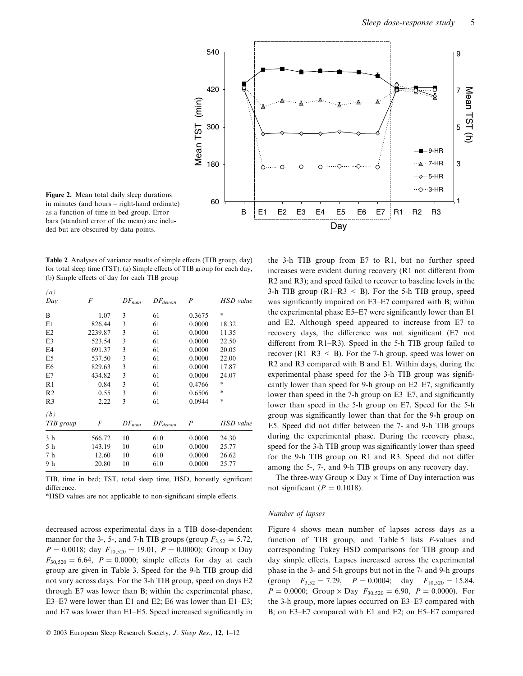

Figure 2. Mean total daily sleep durations in minutes (and hours – right-hand ordinate) as a function of time in bed group. Error bars (standard error of the mean) are included but are obscured by data points.

Table 2 Analyses of variance results of simple effects (TIB group, day) for total sleep time (TST). (a) Simple effects of TIB group for each day, (b) Simple effects of day for each TIB group

| $\left(a\right)$ |         |                      |              |                  |               |
|------------------|---------|----------------------|--------------|------------------|---------------|
| Day              | F       | $DF_{num}$           | $DF_{denom}$ | $\boldsymbol{P}$ | HSD value     |
| B                | 1.07    | 3                    | 61           | 0.3675           | $\frac{1}{2}$ |
| E1               | 826.44  | 3                    | 61           | 0.0000           | 18.32         |
| E2               | 2239.87 | 3                    | 61           | 0.0000           | 11.35         |
| E <sub>3</sub>   | 523.54  | 3                    | 61           | 0.0000           | 22.50         |
| E4               | 691.37  | 3                    | 61           | 0.0000           | 20.05         |
| E <sub>5</sub>   | 537.50  | 3                    | 61           | 0.0000           | 22.00         |
| E <sub>6</sub>   | 829.63  | 3                    | 61           | 0.0000           | 17.87         |
| E7               | 434.82  | 3                    | 61           | 0.0000           | 24.07         |
| R1               | 0.84    | 3                    | 61           | 0.4766           | $\frac{1}{2}$ |
| R <sub>2</sub>   | 0.55    | 3                    | 61           | 0.6506           | $\frac{1}{2}$ |
| R <sub>3</sub>   | 2.22    | 3                    | 61           | 0.0944           | $\frac{1}{2}$ |
| (b)              |         |                      |              |                  |               |
| TIB group        | F       | $\mathcal{D}F_{num}$ | $DF_{denom}$ | $\boldsymbol{P}$ | HSD value     |
| 3 <sub>h</sub>   | 566.72  | 10                   | 610          | 0.0000           | 24.30         |
| 5 h              | 143.19  | 10                   | 610          | 0.0000           | 25.77         |
| 7 <sub>h</sub>   | 12.60   | 10                   | 610          | 0.0000           | 26.62         |
| 9 h              | 20.80   | 10                   | 610          | 0.0000           | 25.77         |

TIB, time in bed; TST, total sleep time, HSD, honestly significant difference.

\*HSD values are not applicable to non-significant simple effects.

decreased across experimental days in a TIB dose-dependent manner for the 3-, 5-, and 7-h TIB groups (group  $F_{3,52} = 5.72$ ,  $P = 0.0018$ ; day  $F_{10,520} = 19.01$ ,  $P = 0.0000$ ); Group  $\times$  Day  $F_{30,520} = 6.64$ ,  $P = 0.0000$ ; simple effects for day at each group are given in Table 3. Speed for the 9-h TIB group did not vary across days. For the 3-h TIB group, speed on days E2 through E7 was lower than B; within the experimental phase, E3–E7 were lower than E1 and E2; E6 was lower than E1–E3; and E7 was lower than E1–E5. Speed increased significantly in

the 3-h TIB group from E7 to R1, but no further speed increases were evident during recovery (R1 not different from R2 and R3); and speed failed to recover to baseline levels in the 3-h TIB group ( $R1-R3 < B$ ). For the 5-h TIB group, speed was significantly impaired on E3–E7 compared with B; within the experimental phase E5–E7 were significantly lower than E1 and E2. Although speed appeared to increase from E7 to recovery days, the difference was not significant (E7 not different from R1–R3). Speed in the 5-h TIB group failed to recover ( $R1-R3 < B$ ). For the 7-h group, speed was lower on R2 and R3 compared with B and E1. Within days, during the experimental phase speed for the 3-h TIB group was significantly lower than speed for 9-h group on E2–E7, significantly lower than speed in the 7-h group on E3–E7, and significantly lower than speed in the 5-h group on E7. Speed for the 5-h group was significantly lower than that for the 9-h group on E5. Speed did not differ between the 7- and 9-h TIB groups during the experimental phase. During the recovery phase, speed for the 3-h TIB group was significantly lower than speed for the 9-h TIB group on R1 and R3. Speed did not differ among the 5-, 7-, and 9-h TIB groups on any recovery day.

The three-way Group  $\times$  Day  $\times$  Time of Day interaction was not significant ( $P = 0.1018$ ).

#### Number of lapses

Figure 4 shows mean number of lapses across days as a function of TIB group, and Table 5 lists F-values and corresponding Tukey HSD comparisons for TIB group and day simple effects. Lapses increased across the experimental phase in the 3- and 5-h groups but not in the 7- and 9-h groups (group  $F_{3,52} = 7.29$ ,  $P = 0.0004$ ; day  $F_{10,520} = 15.84$ ,  $P = 0.0000$ ; Group  $\times$  Day  $F_{30,520} = 6.90$ ,  $P = 0.0000$ ). For the 3-h group, more lapses occurred on E3–E7 compared with B; on E3–E7 compared with E1 and E2; on E5–E7 compared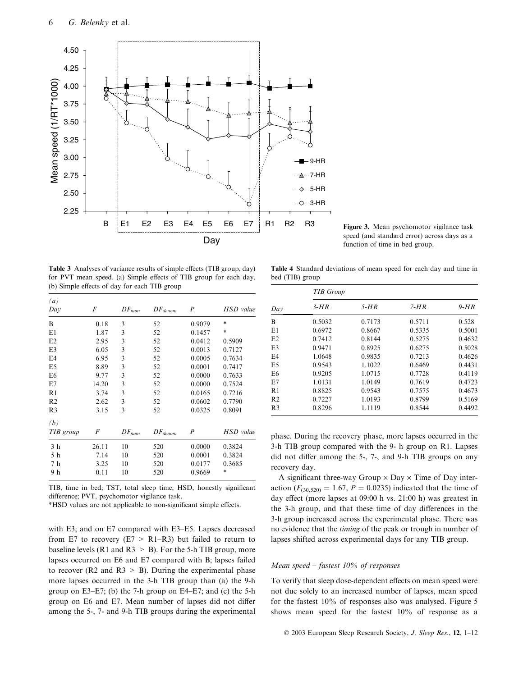

speed (and standard error) across days as a function of time in bed group.

Table 3 Analyses of variance results of simple effects (TIB group, day) for PVT mean speed. (a) Simple effects of TIB group for each day, (b) Simple effects of day for each TIB group

| $\left(a\right)$ |       |                      |              |                  |           |  |
|------------------|-------|----------------------|--------------|------------------|-----------|--|
| Day              | F     | $DF_{num}$           | $DF_{denom}$ | P                | HSD value |  |
| B                | 0.18  | 3                    | 52           | 0.9079           | $*$       |  |
| E1               | 1.87  | 3                    | 52           | 0.1457           | $*$       |  |
| E2               | 2.95  | 3                    | 52           | 0.0412           | 0.5909    |  |
| E3               | 6.05  | 3                    | 52           | 0.0013           | 0.7127    |  |
| E4               | 6.95  | 3                    | 52           | 0.0005           | 0.7634    |  |
| E <sub>5</sub>   | 8.89  | 3                    | 52           | 0.0001           | 0.7417    |  |
| E <sub>6</sub>   | 9.77  | 3                    | 52           | 0.0000           | 0.7633    |  |
| E7               | 14.20 | 3                    | 52           | 0.0000           | 0.7524    |  |
| R1               | 3.74  | 3                    | 52           | 0.0165           | 0.7216    |  |
| R <sub>2</sub>   | 2.62  | 3                    | 52           | 0.0602           | 0.7790    |  |
| R <sub>3</sub>   | 3.15  | 3                    | 52           | 0.0325           | 0.8091    |  |
| (b)              |       |                      |              |                  |           |  |
| TIB group        | F     | $\mathcal{D}F_{num}$ | $DF_{denom}$ | $\boldsymbol{P}$ | HSD value |  |
| 3 h              | 26.11 | 10                   | 520          | 0.0000           | 0.3824    |  |
| 5 h              | 7.14  | 10                   | 520          | 0.0001           | 0.3824    |  |
| 7 h              | 3.25  | 10                   | 520          | 0.0177           | 0.3685    |  |
| 9 h              | 0.11  | 10                   | 520          | 0.9669           | $*$       |  |

TIB, time in bed; TST, total sleep time; HSD, honestly significant difference; PVT, psychomotor vigilance task.

\*HSD values are not applicable to non-significant simple effects.

with E3; and on E7 compared with E3–E5. Lapses decreased from E7 to recovery (E7  $>$  R1–R3) but failed to return to baseline levels (R1 and R3  $>$  B). For the 5-h TIB group, more lapses occurred on E6 and E7 compared with B; lapses failed to recover (R2 and R3  $>$  B). During the experimental phase more lapses occurred in the 3-h TIB group than (a) the 9-h group on E3–E7; (b) the 7-h group on E4–E7; and (c) the 5-h group on E6 and E7. Mean number of lapses did not differ among the 5-, 7- and 9-h TIB groups during the experimental

Table 4 Standard deviations of mean speed for each day and time in bed (TIB) group

| Day            | <b>TIB</b> Group |        |        |        |  |  |  |  |
|----------------|------------------|--------|--------|--------|--|--|--|--|
|                | $3-HR$           | $5-HR$ | $7-HR$ | $9-HR$ |  |  |  |  |
| B              | 0.5032           | 0.7173 | 0.5711 | 0.528  |  |  |  |  |
| E1             | 0.6972           | 0.8667 | 0.5335 | 0.5001 |  |  |  |  |
| E2             | 0.7412           | 0.8144 | 0.5275 | 0.4632 |  |  |  |  |
| E3             | 0.9471           | 0.8925 | 0.6275 | 0.5028 |  |  |  |  |
| E4             | 1.0648           | 0.9835 | 0.7213 | 0.4626 |  |  |  |  |
| E5             | 0.9543           | 1.1022 | 0.6469 | 0.4431 |  |  |  |  |
| E <sub>6</sub> | 0.9205           | 1.0715 | 0.7728 | 0.4119 |  |  |  |  |
| E7             | 1.0131           | 1.0149 | 0.7619 | 0.4723 |  |  |  |  |
| R1             | 0.8825           | 0.9543 | 0.7575 | 0.4673 |  |  |  |  |
| R <sub>2</sub> | 0.7227           | 1.0193 | 0.8799 | 0.5169 |  |  |  |  |
| R <sub>3</sub> | 0.8296           | 1.1119 | 0.8544 | 0.4492 |  |  |  |  |

phase. During the recovery phase, more lapses occurred in the 3-h TIB group compared with the 9- h group on R1. Lapses did not differ among the 5-, 7-, and 9-h TIB groups on any recovery day.

A significant three-way Group  $\times$  Day  $\times$  Time of Day interaction ( $F_{(30,520)} = 1.67$ ,  $P = 0.0235$ ) indicated that the time of day effect (more lapses at 09:00 h vs. 21:00 h) was greatest in the 3-h group, and that these time of day differences in the 3-h group increased across the experimental phase. There was no evidence that the timing of the peak or trough in number of lapses shifted across experimental days for any TIB group.

#### Mean speed – fastest  $10\%$  of responses

To verify that sleep dose-dependent effects on mean speed were not due solely to an increased number of lapses, mean speed for the fastest 10% of responses also was analysed. Figure 5 shows mean speed for the fastest 10% of response as a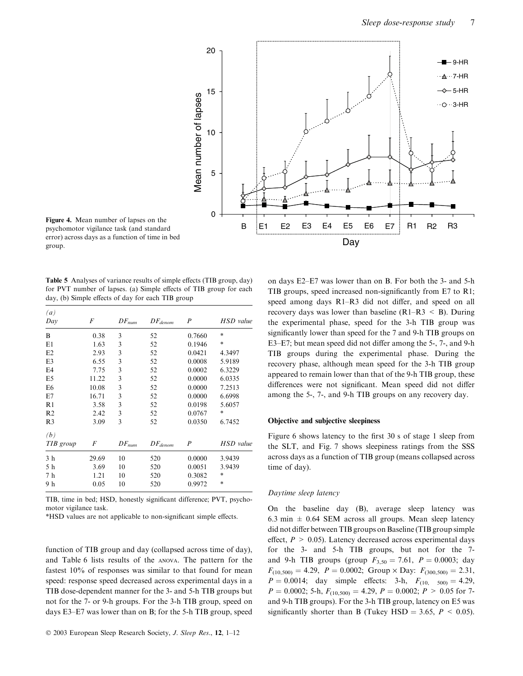

psychomotor vigilance task (and standard error) across days as a function of time in bed group.

Table 5 Analyses of variance results of simple effects (TIB group, day) for PVT number of lapses. (a) Simple effects of TIB group for each day, (b) Simple effects of day for each TIB group

| $\left(a\right)$ |       |                      |              |                  |               |  |  |
|------------------|-------|----------------------|--------------|------------------|---------------|--|--|
| Day              | F     | $\mathcal{D}F_{num}$ | $DF_{denom}$ | $\boldsymbol{P}$ | HSD value     |  |  |
| B                | 0.38  | 3                    | 52           | 0.7660           | *             |  |  |
| E1               | 1.63  | 3                    | 52           | 0.1946           | $\frac{1}{2}$ |  |  |
| E2               | 2.93  | 3                    | 52           | 0.0421           | 4.3497        |  |  |
| E <sub>3</sub>   | 6.55  | 3                    | 52           | 0.0008           | 5.9189        |  |  |
| E4               | 7.75  | 3                    | 52           | 0.0002           | 6.3229        |  |  |
| E <sub>5</sub>   | 11.22 | 3                    | 52           | 0.0000           | 6.0335        |  |  |
| E <sub>6</sub>   | 10.08 | 3                    | 52           | 0.0000           | 7.2513        |  |  |
| E7               | 16.71 | 3                    | 52           | 0.0000           | 6.6998        |  |  |
| R1               | 3.58  | 3                    | 52           | 0.0198           | 5.6057        |  |  |
| R <sub>2</sub>   | 2.42  | 3                    | 52           | 0.0767           | $\frac{1}{2}$ |  |  |
| R <sub>3</sub>   | 3.09  | 3                    | 52           | 0.0350           | 6.7452        |  |  |
| (b)              |       |                      |              |                  |               |  |  |
| TIB group        | F     | $DF_{num}$           | $DF_{denom}$ | $\boldsymbol{P}$ | HSD value     |  |  |
| 3 <sub>h</sub>   | 29.69 | 10                   | 520          | 0.0000           | 3.9439        |  |  |
| 5 h              | 3.69  | 10                   | 520          | 0.0051           | 3.9439        |  |  |
| 7 <sub>h</sub>   | 1.21  | 10                   | 520          | 0.3082           | *             |  |  |
| 9 h              | 0.05  | 10                   | 520          | 0.9972           | *             |  |  |

TIB, time in bed; HSD, honestly significant difference; PVT, psychomotor vigilance task.

\*HSD values are not applicable to non-significant simple effects.

function of TIB group and day (collapsed across time of day), and Table 6 lists results of the anova. The pattern for the fastest 10% of responses was similar to that found for mean speed: response speed decreased across experimental days in a TIB dose-dependent manner for the 3- and 5-h TIB groups but not for the 7- or 9-h groups. For the 3-h TIB group, speed on days E3–E7 was lower than on B; for the 5-h TIB group, speed

on days E2–E7 was lower than on B. For both the 3- and 5-h TIB groups, speed increased non-significantly from E7 to R1; speed among days R1–R3 did not differ, and speed on all recovery days was lower than baseline  $(R1-R3 \leq B)$ . During the experimental phase, speed for the 3-h TIB group was significantly lower than speed for the 7 and 9-h TIB groups on E3–E7; but mean speed did not differ among the 5-, 7-, and 9-h TIB groups during the experimental phase. During the recovery phase, although mean speed for the 3-h TIB group appeared to remain lower than that of the 9-h TIB group, these differences were not significant. Mean speed did not differ among the 5-, 7-, and 9-h TIB groups on any recovery day.

### Objective and subjective sleepiness

Figure 6 shows latency to the first 30 s of stage 1 sleep from the SLT, and Fig. 7 shows sleepiness ratings from the SSS across days as a function of TIB group (means collapsed across time of day).

#### Daytime sleep latency

On the baseline day (B), average sleep latency was 6.3 min  $\pm$  0.64 SEM across all groups. Mean sleep latency did not differ between TIB groups on Baseline (TIB group simple effect,  $P > 0.05$ ). Latency decreased across experimental days for the 3- and 5-h TIB groups, but not for the 7 and 9-h TIB groups (group  $F_{3,50} = 7.61$ ,  $P = 0.0003$ ; day  $F_{(10,500)} = 4.29$ ,  $P = 0.0002$ ; Group × Day:  $F_{(300,500)} = 2.31$ ,  $P = 0.0014$ ; day simple effects: 3-h,  $F_{(10, 500)} = 4.29$ ,  $P = 0.0002$ ; 5-h,  $F_{(10,500)} = 4.29$ ,  $P = 0.0002$ ;  $P > 0.05$  for 7and 9-h TIB groups). For the 3-h TIB group, latency on E5 was significantly shorter than B (Tukey HSD = 3.65,  $P < 0.05$ ).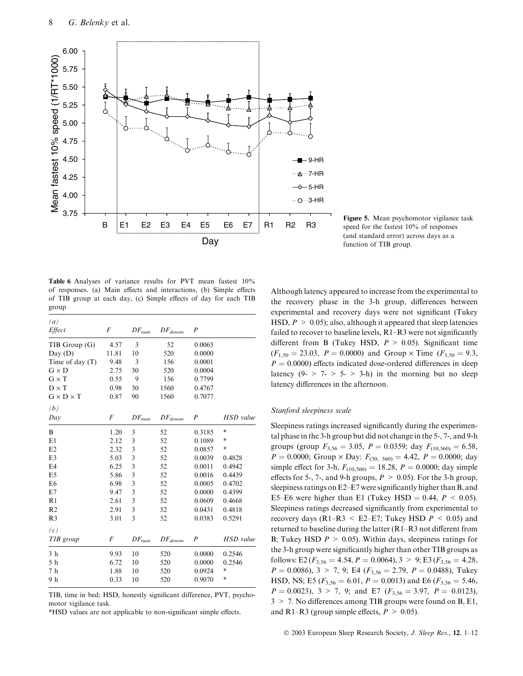

Figure 5. Mean psychomotor vigilance task speed for the fastest 10% of responses (and standard error) across days as a function of TIB group.

Table 6 Analyses of variance results for PVT mean fastest 10% of responses. (a) Main effects and interactions, (b) Simple effects of TIB group at each day, (c) Simple effects of day for each TIB group

| (a)                   |       |            |              |                  |                  |
|-----------------------|-------|------------|--------------|------------------|------------------|
| Effect                | F     | $DF_{num}$ | $DF_{denom}$ | $\boldsymbol{P}$ |                  |
| TIB Group(G)          | 4.57  | 3          | 52           | 0.0065           |                  |
| Day (D)               | 11.81 | 10         | 520          | 0.0000           |                  |
| Time of day (T)       | 9.48  | 3          | 156          | 0.0001           |                  |
| $G \times D$          | 2.75  | 30         | 520          | 0.0004           |                  |
| $G \times T$          | 0.55  | 9          | 156          | 0.7799           |                  |
| $D \times T$          | 0.98  | 30         | 1560         | 0.4767           |                  |
| $G \times D \times T$ | 0.87  | 90         | 1560         | 0.7077           |                  |
| (b)                   |       |            |              |                  |                  |
| Day                   | F     | $DF_{num}$ | $DF_{denom}$ | $\boldsymbol{P}$ | <b>HSD</b> value |
| B                     | 1.20  | 3          | 52           | 0.3185           | $*$              |
| E1                    | 2.12  | 3          | 52           | 0.1089           | $*$              |
| E2                    | 2.32  | 3          | 52           | 0.0857           | $*$              |
| E <sub>3</sub>        | 5.03  | 3          | 52           | 0.0039           | 0.4828           |
| E <sub>4</sub>        | 6.25  | 3          | 52           | 0.0011           | 0.4942           |
| E <sub>5</sub>        | 5.86  | 3          | 52           | 0.0016           | 0.4439           |
| E <sub>6</sub>        | 6.98  | 3          | 52           | 0.0005           | 0.4702           |
| E7                    | 9.47  | 3          | 52           | 0.0000           | 0.4399           |
| R <sub>1</sub>        | 2.61  | 3          | 52           | 0.0609           | 0.4668           |
| R <sub>2</sub>        | 2.91  | 3          | 52           | 0.0431           | 0.4818           |
| R <sub>3</sub>        | 3.01  | 3          | 52           | 0.0383           | 0.5291           |
| (c)                   |       |            |              |                  |                  |
| TIB group             | F     | $DF_{num}$ | $DF_{denom}$ | $\boldsymbol{P}$ | <b>HSD</b> value |
| 3 <sub>h</sub>        | 9.93  | 10         | 520          | 0.0000           | 0.2546           |
| 5 h                   | 6.72  | 10         | 520          | 0.0000           | 0.2546           |
| 7 h                   | 1.88  | 10         | 520          | 0.0924           | $\ast$           |
| 9 h                   | 0.33  | 10         | 520          | 0.9070           | *                |
|                       |       |            |              |                  |                  |

TIB, time in bed; HSD, honestly significant difference, PVT, psychomotor vigilance task.

\*HSD values are not applicable to non-significant simple effects.

Although latency appeared to increase from the experimental to the recovery phase in the 3-h group, differences between experimental and recovery days were not significant (Tukey HSD,  $P > 0.05$ ); also, although it appeared that sleep latencies failed to recover to baseline levels, R1–R3 were not significantly different from B (Tukey HSD,  $P > 0.05$ ). Significant time  $(F_{1,50} = 23.03, P = 0.0000)$  and Group  $\times$  Time  $(F_{3,50} = 9.3, P = 0.0000)$  $P = 0.0000$ ) effects indicated dose-ordered differences in sleep latency  $(9 - 5$   $> 5 - 5$   $> 3-h$ ) in the morning but no sleep latency differences in the afternoon.

#### Stanford sleepiness scale

Sleepiness ratings increased significantly during the experimental phase in the 3-h group but did not change in the 5-, 7-, and 9-h groups (group  $F_{3,56} = 3.05$ ,  $P = 0.0359$ ; day  $F_{(10,560)} = 6.58$ ,  $P = 0.0000$ ; Group × Day:  $F_{(30, 560)} = 4.42$ ,  $P = 0.0000$ ; day simple effect for 3-h,  $F_{(10,560)} = 18.28$ ,  $P = 0.0000$ ; day simple effects for 5-, 7-, and 9-h groups,  $P > 0.05$ ). For the 3-h group, sleepiness ratings on E2–E7 were significantly higher than B, and E5–E6 were higher than E1 (Tukey HSD = 0.44,  $P < 0.05$ ). Sleepiness ratings decreased significantly from experimental to recovery days (R1–R3  $\leq$  E2–E7; Tukey HSD  $P \leq 0.05$ ) and returned to baseline during the latter (R1–R3 not different from B; Tukey HSD  $P > 0.05$ ). Within days, sleepiness ratings for the 3-h group were significantly higher than other TIB groups as follows: E2 ( $F_{3,56} = 4.54, P = 0.0064$ ),  $3 > 9$ ; E3 ( $F_{3,56} = 4.28$ ,  $P = 0.0086$ ,  $3 > 7$ , 9; E4 ( $F_{3,56} = 2.79$ ,  $P = 0.0488$ ), Tukey HSD, NS; E5 ( $F_{3,56} = 6.01$ ,  $P = 0.0013$ ) and E6 ( $F_{3,56} = 5.46$ ,  $P = 0.0023$ ,  $3 > 7$ , 9; and E7 ( $F_{3,56} = 3.97$ ,  $P = 0.0123$ ),  $3 > 7$ . No differences among TIB groups were found on B, E1, and R1–R3 (group simple effects,  $P > 0.05$ ).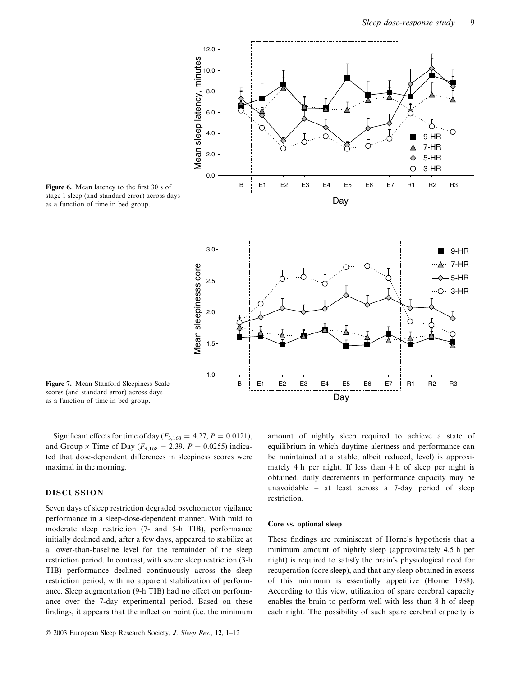

stage 1 sleep (and standard error) across days as a function of time in bed group.

Figure 7. Mean Stanford Sleepiness Scale scores (and standard error) across days as a function of time in bed group.

Significant effects for time of day ( $F_{3,168} = 4.27, P = 0.0121$ ), and Group  $\times$  Time of Day ( $F_{9,168} = 2.39$ ,  $P = 0.0255$ ) indicated that dose-dependent differences in sleepiness scores were maximal in the morning.

# DISCUSSION

Seven days of sleep restriction degraded psychomotor vigilance performance in a sleep-dose-dependent manner. With mild to moderate sleep restriction (7- and 5-h TIB), performance initially declined and, after a few days, appeared to stabilize at a lower-than-baseline level for the remainder of the sleep restriction period. In contrast, with severe sleep restriction (3-h TIB) performance declined continuously across the sleep restriction period, with no apparent stabilization of performance. Sleep augmentation (9-h TIB) had no effect on performance over the 7-day experimental period. Based on these findings, it appears that the inflection point (i.e. the minimum

amount of nightly sleep required to achieve a state of equilibrium in which daytime alertness and performance can be maintained at a stable, albeit reduced, level) is approximately 4 h per night. If less than 4 h of sleep per night is obtained, daily decrements in performance capacity may be unavoidable – at least across a 7-day period of sleep restriction.

#### Core vs. optional sleep

These findings are reminiscent of Horne's hypothesis that a minimum amount of nightly sleep (approximately 4.5 h per night) is required to satisfy the brain's physiological need for recuperation (core sleep), and that any sleep obtained in excess of this minimum is essentially appetitive (Horne 1988). According to this view, utilization of spare cerebral capacity enables the brain to perform well with less than 8 h of sleep each night. The possibility of such spare cerebral capacity is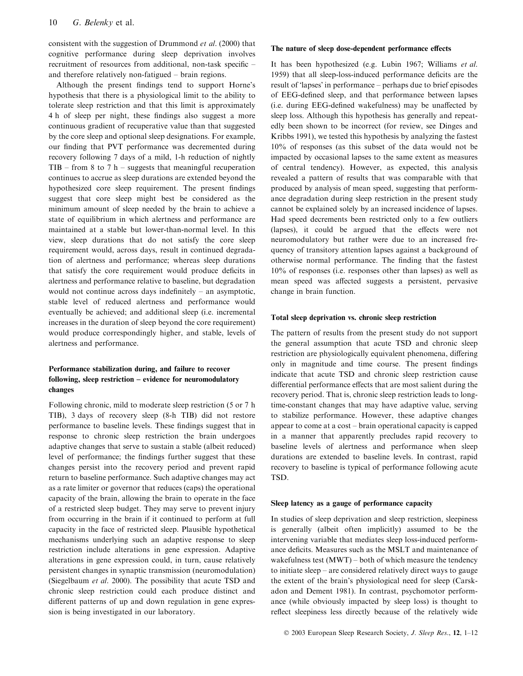consistent with the suggestion of Drummond et al. (2000) that cognitive performance during sleep deprivation involves recruitment of resources from additional, non-task specific – and therefore relatively non-fatigued – brain regions.

Although the present findings tend to support Horne's hypothesis that there is a physiological limit to the ability to tolerate sleep restriction and that this limit is approximately 4 h of sleep per night, these findings also suggest a more continuous gradient of recuperative value than that suggested by the core sleep and optional sleep designations. For example, our finding that PVT performance was decremented during recovery following 7 days of a mild, 1-h reduction of nightly TIB – from 8 to 7 h – suggests that meaningful recuperation continues to accrue as sleep durations are extended beyond the hypothesized core sleep requirement. The present findings suggest that core sleep might best be considered as the minimum amount of sleep needed by the brain to achieve a state of equilibrium in which alertness and performance are maintained at a stable but lower-than-normal level. In this view, sleep durations that do not satisfy the core sleep requirement would, across days, result in continued degradation of alertness and performance; whereas sleep durations that satisfy the core requirement would produce deficits in alertness and performance relative to baseline, but degradation would not continue across days indefinitely – an asymptotic, stable level of reduced alertness and performance would eventually be achieved; and additional sleep (i.e. incremental increases in the duration of sleep beyond the core requirement) would produce correspondingly higher, and stable, levels of alertness and performance.

# Performance stabilization during, and failure to recover following, sleep restriction – evidence for neuromodulatory changes

Following chronic, mild to moderate sleep restriction (5 or 7 h TIB), 3 days of recovery sleep (8-h TIB) did not restore performance to baseline levels. These findings suggest that in response to chronic sleep restriction the brain undergoes adaptive changes that serve to sustain a stable (albeit reduced) level of performance; the findings further suggest that these changes persist into the recovery period and prevent rapid return to baseline performance. Such adaptive changes may act as a rate limiter or governor that reduces (caps) the operational capacity of the brain, allowing the brain to operate in the face of a restricted sleep budget. They may serve to prevent injury from occurring in the brain if it continued to perform at full capacity in the face of restricted sleep. Plausible hypothetical mechanisms underlying such an adaptive response to sleep restriction include alterations in gene expression. Adaptive alterations in gene expression could, in turn, cause relatively persistent changes in synaptic transmission (neuromodulation) (Siegelbaum et al. 2000). The possibility that acute TSD and chronic sleep restriction could each produce distinct and different patterns of up and down regulation in gene expression is being investigated in our laboratory.

#### The nature of sleep dose-dependent performance effects

It has been hypothesized (e.g. Lubin 1967; Williams et al. 1959) that all sleep-loss-induced performance deficits are the result of 'lapses' in performance – perhaps due to brief episodes of EEG-defined sleep, and that performance between lapses (i.e. during EEG-defined wakefulness) may be unaffected by sleep loss. Although this hypothesis has generally and repeatedly been shown to be incorrect (for review, see Dinges and Kribbs 1991), we tested this hypothesis by analyzing the fastest 10% of responses (as this subset of the data would not be impacted by occasional lapses to the same extent as measures of central tendency). However, as expected, this analysis revealed a pattern of results that was comparable with that produced by analysis of mean speed, suggesting that performance degradation during sleep restriction in the present study cannot be explained solely by an increased incidence of lapses. Had speed decrements been restricted only to a few outliers (lapses), it could be argued that the effects were not neuromodulatory but rather were due to an increased frequency of transitory attention lapses against a background of otherwise normal performance. The finding that the fastest 10% of responses (i.e. responses other than lapses) as well as mean speed was affected suggests a persistent, pervasive change in brain function.

#### Total sleep deprivation vs. chronic sleep restriction

The pattern of results from the present study do not support the general assumption that acute TSD and chronic sleep restriction are physiologically equivalent phenomena, differing only in magnitude and time course. The present findings indicate that acute TSD and chronic sleep restriction cause differential performance effects that are most salient during the recovery period. That is, chronic sleep restriction leads to longtime-constant changes that may have adaptive value, serving to stabilize performance. However, these adaptive changes appear to come at a cost – brain operational capacity is capped in a manner that apparently precludes rapid recovery to baseline levels of alertness and performance when sleep durations are extended to baseline levels. In contrast, rapid recovery to baseline is typical of performance following acute TSD.

#### Sleep latency as a gauge of performance capacity

In studies of sleep deprivation and sleep restriction, sleepiness is generally (albeit often implicitly) assumed to be the intervening variable that mediates sleep loss-induced performance deficits. Measures such as the MSLT and maintenance of wakefulness test (MWT) – both of which measure the tendency to initiate sleep – are considered relatively direct ways to gauge the extent of the brain's physiological need for sleep (Carskadon and Dement 1981). In contrast, psychomotor performance (while obviously impacted by sleep loss) is thought to reflect sleepiness less directly because of the relatively wide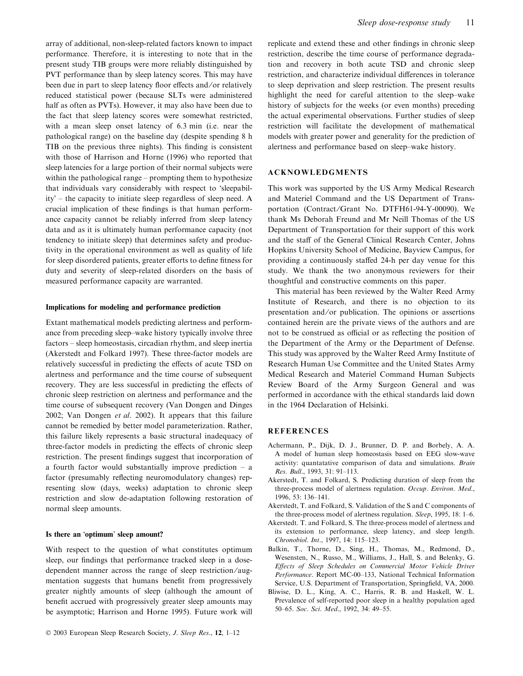array of additional, non-sleep-related factors known to impact performance. Therefore, it is interesting to note that in the present study TIB groups were more reliably distinguished by PVT performance than by sleep latency scores. This may have been due in part to sleep latency floor effects and/or relatively reduced statistical power (because SLTs were administered half as often as PVTs). However, it may also have been due to the fact that sleep latency scores were somewhat restricted, with a mean sleep onset latency of 6.3 min (i.e. near the pathological range) on the baseline day (despite spending 8 h TIB on the previous three nights). This finding is consistent with those of Harrison and Horne (1996) who reported that sleep latencies for a large portion of their normal subjects were within the pathological range – prompting them to hypothesize that individuals vary considerably with respect to 'sleepability" – the capacity to initiate sleep regardless of sleep need. A crucial implication of these findings is that human performance capacity cannot be reliably inferred from sleep latency data and as it is ultimately human performance capacity (not tendency to initiate sleep) that determines safety and productivity in the operational environment as well as quality of life for sleep disordered patients, greater efforts to define fitness for duty and severity of sleep-related disorders on the basis of measured performance capacity are warranted.

#### Implications for modeling and performance prediction

Extant mathematical models predicting alertness and performance from preceding sleep–wake history typically involve three factors – sleep homeostasis, circadian rhythm, and sleep inertia (Akerstedt and Folkard 1997). These three-factor models are relatively successful in predicting the effects of acute TSD on alertness and performance and the time course of subsequent recovery. They are less successful in predicting the effects of chronic sleep restriction on alertness and performance and the time course of subsequent recovery (Van Dongen and Dinges 2002; Van Dongen et al. 2002). It appears that this failure cannot be remedied by better model parameterization. Rather, this failure likely represents a basic structural inadequacy of three-factor models in predicting the effects of chronic sleep restriction. The present findings suggest that incorporation of a fourth factor would substantially improve prediction – a factor (presumably reflecting neuromodulatory changes) representing slow (days, weeks) adaptation to chronic sleep restriction and slow de-adaptation following restoration of normal sleep amounts.

# Is there an 'optimum' sleep amount?

With respect to the question of what constitutes optimum sleep, our findings that performance tracked sleep in a dosedependent manner across the range of sleep restriction ⁄ augmentation suggests that humans benefit from progressively greater nightly amounts of sleep (although the amount of benefit accrued with progressively greater sleep amounts may be asymptotic; Harrison and Horne 1995). Future work will

replicate and extend these and other findings in chronic sleep restriction, describe the time course of performance degradation and recovery in both acute TSD and chronic sleep restriction, and characterize individual differences in tolerance to sleep deprivation and sleep restriction. The present results highlight the need for careful attention to the sleep–wake history of subjects for the weeks (or even months) preceding the actual experimental observations. Further studies of sleep restriction will facilitate the development of mathematical models with greater power and generality for the prediction of alertness and performance based on sleep–wake history.

# ACKNOWLEDGMENTS

This work was supported by the US Army Medical Research and Materiel Command and the US Department of Transportation (Contract/Grant No. DTFH61-94-Y-00090). We thank Ms Deborah Freund and Mr Neill Thomas of the US Department of Transportation for their support of this work and the staff of the General Clinical Research Center, Johns Hopkins University School of Medicine, Bayview Campus, for providing a continuously staffed 24-h per day venue for this study. We thank the two anonymous reviewers for their thoughtful and constructive comments on this paper.

This material has been reviewed by the Walter Reed Army Institute of Research, and there is no objection to its presentation and ⁄ or publication. The opinions or assertions contained herein are the private views of the authors and are not to be construed as official or as reflecting the position of the Department of the Army or the Department of Defense. This study was approved by the Walter Reed Army Institute of Research Human Use Committee and the United States Army Medical Research and Materiel Command Human Subjects Review Board of the Army Surgeon General and was performed in accordance with the ethical standards laid down in the 1964 Declaration of Helsinki.

# **REFERENCES**

- Achermann, P., Dijk, D. J., Brunner, D. P. and Borbely, A. A. A model of human sleep homeostasis based on EEG slow-wave activity: quantatative comparison of data and simulations. Brain Res. Bull., 1993, 31: 91–113.
- Akerstedt, T. and Folkard, S. Predicting duration of sleep from the three-process model of alertness regulation. Occup. Environ. Med., 1996, 53: 136–141.
- Akerstedt, T. and Folkard, S. Validation of the S and C components of the three-process model of alertness regulation. Sleep, 1995, 18: 1–6.
- Akerstedt. T. and Folkard, S. The three-process model of alertness and its extension to performance, sleep latency, and sleep length. Chronobiol. Int., 1997, 14: 115–123.
- Balkin, T., Thorne, D., Sing, H., Thomas, M., Redmond, D., Wesensten, N., Russo, M., Williams, J., Hall, S. and Belenky, G. Effects of Sleep Schedules on Commercial Motor Vehicle Driver Performance. Report MC-00-133, National Technical Information Service, U.S. Department of Transportation, Springfield, VA, 2000.
- Bliwise, D. L., King, A. C., Harris, R. B. and Haskell, W. L. Prevalence of self-reported poor sleep in a healthy population aged 50–65. Soc. Sci. Med., 1992, 34: 49–55.